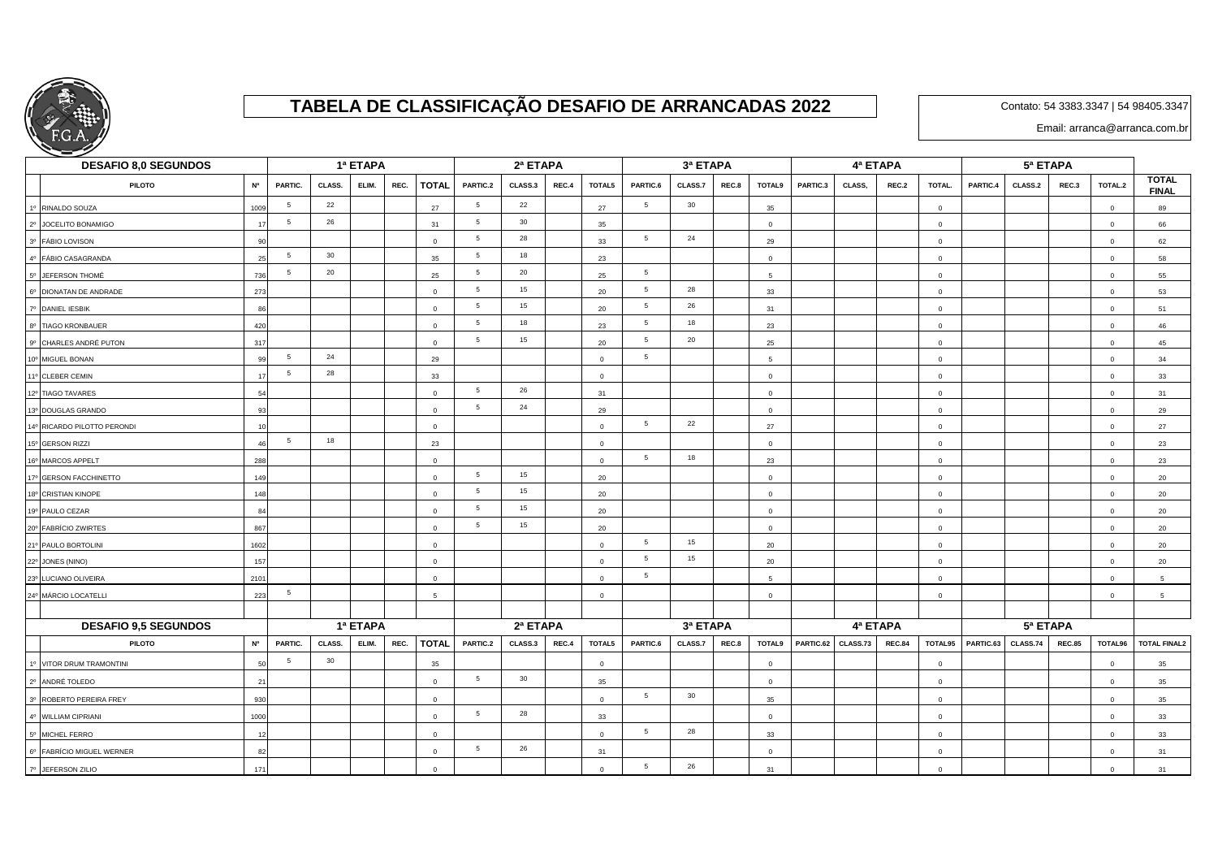

## **TABELA DE CLASSIFICAÇÃO DESAFIO DE ARRANCADAS 2022**

Contato: 54 3383.3347 | 54 98405.3347

Email: arranca@arranca.com.br

| <b>DESAFIO 8,0 SEGUNDOS</b>       |           |                 |        | 1ª ETAPA |      |                |                 | 2ª ETAPA |       |                         |                 | 3ª ETAPA       |       |                |           |                        | 4ª ETAPA      |                |           | 5ª ETAPA |               |              |                              |
|-----------------------------------|-----------|-----------------|--------|----------|------|----------------|-----------------|----------|-------|-------------------------|-----------------|----------------|-------|----------------|-----------|------------------------|---------------|----------------|-----------|----------|---------------|--------------|------------------------------|
| <b>N°</b><br><b>PILOTO</b>        |           | <b>PARTIC.</b>  | CLASS. | ELIM.    | REC. | <b>TOTAL</b>   | PARTIC.2        | CLASS.3  | REC.4 | TOTAL5                  | PARTIC.6        | CLASS.7        | REC.8 | TOTAL9         | PARTIC.3  | CLASS,                 | REC.2         | TOTAL.         | PARTIC.4  | CLASS.2  | REC.3         | TOTAL.2      | <b>TOTAL</b><br><b>FINAL</b> |
| 1º RINALDO SOUZA<br>1009          |           | $5\phantom{.0}$ | 22     |          |      | 27             | $5\overline{)}$ | 22       |       | 27                      | $5\overline{5}$ | 30             |       | 35             |           |                        |               | $\mathbf{0}$   |           |          |               | $\mathbf 0$  | 89                           |
| 2º JOCELITO BONAMIGO              | 17        | 5               | 26     |          |      | 31             | $5\overline{)}$ | 30       |       | 35                      |                 |                |       | $\Omega$       |           |                        |               | $\overline{0}$ |           |          |               | $\Omega$     | 66                           |
| 3º FÁBIO LOVISON                  | 90        |                 |        |          |      | $\overline{0}$ | $5\overline{)}$ | 28       |       | 33                      | $5\overline{5}$ | 24             |       | 29             |           |                        |               | $\overline{0}$ |           |          |               | $\mathbf 0$  | 62                           |
| 4º FÁBIO CASAGRANDA               | 25        | $5\phantom{.0}$ | 30     |          |      | 35             | $5\overline{)}$ | 18       |       | 23                      |                 |                |       | $\mathbf 0$    |           |                        |               | $\mathbf{0}$   |           |          |               | $\mathbf 0$  | 58                           |
| 5° JEFERSON THOMÉ<br>736          |           | 5               | 20     |          |      | 25             | $5\overline{5}$ | 20       |       | 25                      | $5\overline{5}$ |                |       | -5             |           |                        |               | $\overline{0}$ |           |          |               | $\Omega$     | 55                           |
| 6º DIONATAN DE ANDRADE<br>273     |           |                 |        |          |      | $\mathbf 0$    | 5               | 15       |       | 20                      | $5\overline{5}$ | 28             |       | 33             |           |                        |               | $\mathbf{0}$   |           |          |               | $\mathsf 0$  | 53                           |
| 7º DANIEL IESBIK                  | 86        |                 |        |          |      | $\mathbf 0$    | $5\overline{)}$ | 15       |       | 20                      | $5\overline{5}$ | 26             |       | 31             |           |                        |               | $\mathbf{0}$   |           |          |               | $\mathbf 0$  | 51                           |
| 8º TIAGO KRONBAUER<br>420         |           |                 |        |          |      | $\overline{0}$ | $5\overline{)}$ | 18       |       | 23                      | $5\overline{5}$ | 18             |       | 23             |           |                        |               | $\mathbf{0}$   |           |          |               | $\mathbf 0$  | 46                           |
| 9º CHARLES ANDRÉ PUTON<br>317     |           |                 |        |          |      | $\overline{0}$ | $5\phantom{.0}$ | 15       |       | 20                      | $\,$ 5 $\,$     | 20             |       | 25             |           |                        |               | $\mathbf{0}$   |           |          |               | $\mathbf 0$  | 45                           |
| 10° MIGUEL BONAN                  | <b>QC</b> | 5               | 24     |          |      | 29             |                 |          |       | $\overline{0}$          | 5               |                |       | -5             |           |                        |               | $\overline{0}$ |           |          |               | $\mathbf{0}$ | 34                           |
| 11º CLEBER CEMIN                  | 17        | 5               | 28     |          |      | 33             |                 |          |       | $\overline{0}$          |                 |                |       | $\circ$        |           |                        |               | $\circ$        |           |          |               | $\mathbf 0$  | 33                           |
| 12º TIAGO TAVARES                 | 54        |                 |        |          |      | $\Omega$       | $\sqrt{5}$      | 26       |       | 31                      |                 |                |       | $\mathbf 0$    |           |                        |               | $\overline{0}$ |           |          |               | $\mathbf 0$  | 31                           |
| 13º DOUGLAS GRANDO                | 93        |                 |        |          |      | $\Omega$       | $5\phantom{.0}$ | 24       |       | 29                      |                 |                |       | $\Omega$       |           |                        |               | $\overline{0}$ |           |          |               | $\Omega$     | 29                           |
| 14º RICARDO PILOTTO PERONDI       | 10        |                 |        |          |      | $\Omega$       |                 |          |       | $\overline{0}$          | $5\overline{5}$ | 22             |       | 27             |           |                        |               | $\overline{0}$ |           |          |               | $\mathbf 0$  | 27                           |
| 15° GERSON RIZZI                  |           | 5               | 18     |          |      | 23             |                 |          |       | $\overline{0}$          |                 |                |       | $\mathbf 0$    |           |                        |               | $\overline{0}$ |           |          |               | $\Omega$     | 23                           |
| 16° MARCOS APPELT<br>288          |           |                 |        |          |      | $\Omega$       |                 |          |       | $\mathbf{0}$            | $5\overline{5}$ | 18             |       | 23             |           |                        |               | $\mathbf{0}$   |           |          |               | $\mathbf 0$  | 23                           |
| 17º GERSON FACCHINETTO<br>149     |           |                 |        |          |      | $\Omega$       | 5               | 15       |       | 20                      |                 |                |       | $\mathbf 0$    |           |                        |               | $\overline{0}$ |           |          |               | $\mathbf 0$  | 20                           |
| 18º CRISTIAN KINOPE<br>148        |           |                 |        |          |      | $\Omega$       | $5\overline{5}$ | 15       |       | 20                      |                 |                |       | $\mathbf 0$    |           |                        |               | $\Omega$       |           |          |               | $\Omega$     | 20                           |
| 19º PAULO CEZAR<br>8 <sub>6</sub> |           |                 |        |          |      | $\mathbf{0}$   | $5^{\circ}$     | 15       |       | 20                      |                 |                |       | $\mathbf{0}$   |           |                        |               | $\mathbf{0}$   |           |          |               | $\mathbf 0$  | 20                           |
| 20° FABRÍCIO ZWIRTES<br>867       |           |                 |        |          |      | $\mathbf 0$    | $5\overline{5}$ | 15       |       | 20                      |                 |                |       | $\mathbf 0$    |           |                        |               | $\mathbf{0}$   |           |          |               | $\mathbf 0$  | 20                           |
| 21º PAULO BORTOLINI<br>1602       |           |                 |        |          |      | $\Omega$       |                 |          |       | $\overline{0}$          | 5               | 15             |       | 20             |           |                        |               | $\overline{0}$ |           |          |               | $\Omega$     | 20                           |
| 22° JONES (NINO)<br>157           |           |                 |        |          |      | $\Omega$       |                 |          |       | $\overline{0}$          | $5\overline{5}$ | 15             |       | 20             |           |                        |               | $\mathbf{0}$   |           |          |               | $\Omega$     | 20                           |
| 23º LUCIANO OLIVEIRA<br>2101      |           |                 |        |          |      | $\Omega$       |                 |          |       | $\overline{0}$          | 5               |                |       | 5              |           |                        |               | $\mathbf{0}$   |           |          |               | $\mathbf 0$  | 5                            |
| 24º MÁRCIO LOCATELLI<br>223       |           | 5               |        |          |      | 5              |                 |          |       | $\overline{0}$          |                 |                |       | $\overline{0}$ |           |                        |               | $\mathbf{0}$   |           |          |               | $\mathbf 0$  | $5\overline{5}$              |
|                                   |           |                 |        |          |      |                |                 |          |       |                         |                 |                |       |                |           |                        |               |                |           |          |               |              |                              |
| <b>DESAFIO 9.5 SEGUNDOS</b>       | 1ª ETAPA  |                 |        |          |      |                | 2ª ETAPA        |          |       |                         | 3ª ETAPA        |                |       |                |           | $\overline{4^a}$ ETAPA |               |                |           | 5ª ETAPA |               |              |                              |
| <b>N°</b><br><b>PILOTO</b>        |           | PARTIC.         | CLASS. | ELIM.    | REC. | <b>TOTAL</b>   | PARTIC.2        | CLASS.3  | REC.4 | TOTAL5                  | PARTIC.6        | <b>CLASS.7</b> | REC.8 | TOTAL9         | PARTIC.62 | CLASS.73               | <b>REC.84</b> | TOTAL95        | PARTIC.63 | CLASS.74 | <b>REC.85</b> | TOTAL96      | <b>TOTAL FINAL2</b>          |
| 1º VITOR DRUM TRAMONTINI<br>5     |           | 5               | 30     |          |      | 35             |                 |          |       | $\overline{0}$          |                 |                |       | $\mathbf 0$    |           |                        |               | $\overline{0}$ |           |          |               | $\mathbf 0$  | 35                           |
| 2º ANDRÉ TOLEDO<br>21             |           |                 |        |          |      | $\mathbf{0}$   | $5\overline{5}$ | 30       |       | 35                      |                 |                |       | $\mathbf 0$    |           |                        |               | $\mathbf{0}$   |           |          |               | $\mathbf 0$  | 35                           |
| 3º ROBERTO PEREIRA FREY<br>930    |           |                 |        |          |      | $\mathbf 0$    |                 |          |       | $\overline{\mathbf{0}}$ | $5\overline{5}$ | 30             |       | 35             |           |                        |               | $\overline{0}$ |           |          |               | $\mathbf{0}$ | 35                           |
| 4º WILLIAM CIPRIANI<br>1000       |           |                 |        |          |      | $\overline{0}$ | $5\overline{5}$ | 28       |       | 33                      |                 |                |       | $\overline{0}$ |           |                        |               | $\mathbf{0}$   |           |          |               | $\mathbf 0$  | 33                           |
| 5º MICHEL FERRO                   |           |                 |        |          |      | $\Omega$       |                 |          |       | $\overline{0}$          | $\,$ 5 $\,$     | 28             |       | 33             |           |                        |               | $\mathbf{0}$   |           |          |               | $\mathbf 0$  | 33                           |
| 6º FABRÍCIO MIGUEL WERNER         |           |                 |        |          |      | $\Omega$       | $5\overline{5}$ | 26       |       | 31                      |                 |                |       | $\mathbf 0$    |           |                        |               | $\overline{0}$ |           |          |               | $\Omega$     | 31                           |
| 7º JEFERSON ZILIO<br>171          |           |                 |        |          |      | $\Omega$       |                 |          |       | $\overline{0}$          | $5\overline{5}$ | 26             |       | 31             |           |                        |               | $\mathbf{0}$   |           |          |               | $\Omega$     | 31                           |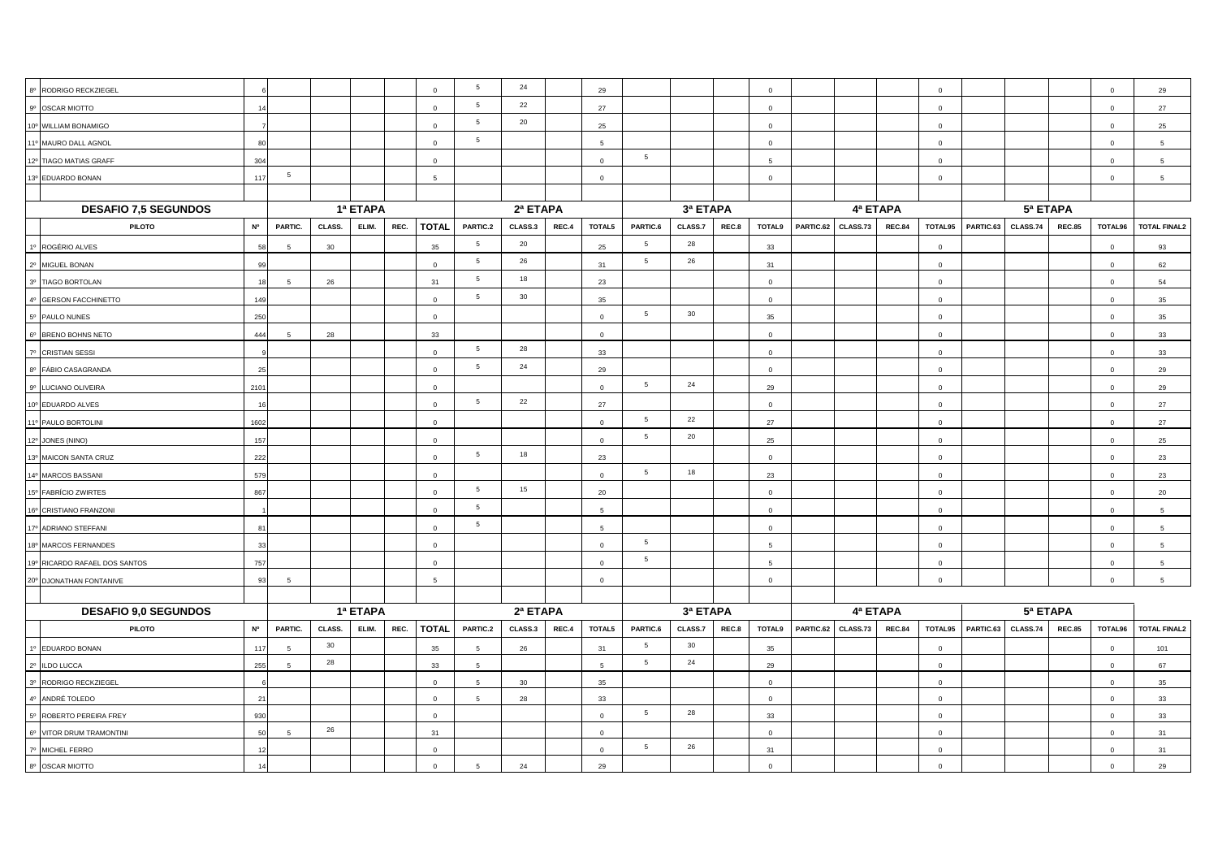| 8º RODRIGO RECKZIEGEL         |           |          |        |          |      | $\overline{0}$ | $5\overline{5}$ | 24       |          | 29              |                 |          |       | $\Omega$       |           |          |               | $\mathbf 0$             |           |          |               | $\mathbf 0$    | 29                  |
|-------------------------------|-----------|----------|--------|----------|------|----------------|-----------------|----------|----------|-----------------|-----------------|----------|-------|----------------|-----------|----------|---------------|-------------------------|-----------|----------|---------------|----------------|---------------------|
| 9º OSCAR MIOTTO               | 14        |          |        |          |      | $\overline{0}$ | $5\phantom{.0}$ | 22       |          | 27              |                 |          |       | $\Omega$       |           |          |               | $\overline{0}$          |           |          |               | $\Omega$       | 27                  |
| 10° WILLIAM BONAMIGO          |           |          |        |          |      | $\overline{0}$ | 5 <sub>5</sub>  | 20       |          | 25              |                 |          |       | $\overline{0}$ |           |          |               | $\mathbf{0}$            |           |          |               | $\circ$        | 25                  |
| 11º MAURO DALL AGNOL          | 8C        |          |        |          |      | $\Omega$       | 5               |          |          | 5               |                 |          |       | $\mathbf{0}$   |           |          |               | $\overline{0}$          |           |          |               | $\Omega$       | 5 <sup>5</sup>      |
| 12º TIAGO MATIAS GRAFF        | 304       |          |        |          |      | $\mathbf 0$    |                 |          |          | $\overline{0}$  | $5\overline{5}$ |          |       | 5              |           |          |               | $\mathbf 0$             |           |          |               | $\mathbf 0$    | 5 <sub>5</sub>      |
| 13º EDUARDO BONAN             | 117       | 5        |        |          |      | 5              |                 |          |          | $\mathbf 0$     |                 |          |       | $\Omega$       |           |          |               | $\mathbf 0$             |           |          |               | $\overline{0}$ | $5^{\circ}$         |
|                               |           |          |        |          |      |                |                 |          |          |                 |                 |          |       |                |           |          |               |                         |           |          |               |                |                     |
| <b>DESAFIO 7,5 SEGUNDOS</b>   |           | 1ª ETAPA |        |          |      | 2ª ETAPA       |                 |          | 3ª ETAPA |                 |                 |          |       | 4ª ETAPA       |           |          |               |                         |           |          |               |                |                     |
| <b>PILOTO</b>                 | <b>Nº</b> | PARTIC.  | CLASS. | ELIM.    | REC. | <b>TOTAL</b>   | PARTIC.2        | CLASS.3  | REC.4    | TOTAL5          | PARTIC.6        | CLASS.7  | REC.8 | TOTAL9         | PARTIC.62 | CLASS.73 | <b>REC.84</b> | TOTAL95                 | PARTIC.63 | CLASS.74 | <b>REC.85</b> | TOTAL96        | <b>TOTAL FINAL2</b> |
| 1º ROGÉRIO ALVES              | 58        | -5       | 30     |          |      | 35             | 5 <sub>5</sub>  | 20       |          | 25              | 5               | 28       |       | 33             |           |          |               | $\overline{0}$          |           |          |               | $\overline{0}$ | 93                  |
| 2º MIGUEL BONAN               | 99        |          |        |          |      | $\overline{0}$ | 5 <sub>5</sub>  | 26       |          | 31              | $5\overline{5}$ | 26       |       | 31             |           |          |               | $\mathbf 0$             |           |          |               | $\mathbf 0$    | 62                  |
| 3º TIAGO BORTOLAN             | 18        | -5       | 26     |          |      | 31             | $5\phantom{.0}$ | 18       |          | 23              |                 |          |       | $\mathbf{0}$   |           |          |               | $\overline{0}$          |           |          |               | $\mathbf 0$    | 54                  |
| 4º GERSON FACCHINETTO         | 149       |          |        |          |      | $\mathbf{0}$   | 5 <sub>5</sub>  | 30       |          | 35              |                 |          |       | $\Omega$       |           |          |               | $\mathbf{0}$            |           |          |               | $\overline{0}$ | 35                  |
| 5º PAULO NUNES                | 250       |          |        |          |      | $\overline{0}$ |                 |          |          | $\circ$         | $5\overline{5}$ | 30       |       | 35             |           |          |               | $\overline{0}$          |           |          |               | $\overline{0}$ | 35                  |
| 6° BRENO BOHNS NETO           | 444       | 5        | 28     |          |      | 33             |                 |          |          | $\mathbf{0}$    |                 |          |       | $\overline{0}$ |           |          |               | $\mathbf{0}$            |           |          |               | $\mathbf 0$    | 33                  |
| 7º CRISTIAN SESSI             |           |          |        |          |      | $\overline{0}$ | $5\phantom{.0}$ | 28       |          | 33              |                 |          |       | $\overline{0}$ |           |          |               | $\overline{0}$          |           |          |               | $\mathbf{0}$   | 33                  |
| 8º FÁBIO CASAGRANDA           | 25        |          |        |          |      | $\mathbf{0}$   | 5 <sup>5</sup>  | 24       |          | 29              |                 |          |       | $\mathbf 0$    |           |          |               | $\mathbf 0$             |           |          |               | $\circ$        | 29                  |
| 9º LUCIANO OLIVEIRA           | 2101      |          |        |          |      | $\overline{0}$ |                 |          |          | $\overline{0}$  | $5\overline{5}$ | 24       |       | 29             |           |          |               | $\overline{0}$          |           |          |               | $\overline{0}$ | 29                  |
| 10° EDUARDO ALVES             | 16        |          |        |          |      | $\overline{0}$ | 5 <sub>5</sub>  | 22       |          | 27              |                 |          |       | $\mathbf{0}$   |           |          |               | $\mathbf 0$             |           |          |               | $\mathbf 0$    | 27                  |
| 11º PAULO BORTOLINI           | 1602      |          |        |          |      | $\mathbf{0}$   |                 |          |          | $\Omega$        | $5\overline{5}$ | 22       |       | 27             |           |          |               | $\Omega$                |           |          |               | $\Omega$       | 27                  |
| 12º JONES (NINO)              | 157       |          |        |          |      | $\Omega$       |                 |          |          | $\Omega$        | 5               | 20       |       | 25             |           |          |               | $\Omega$                |           |          |               | $\Omega$       | 25                  |
| 13º MAICON SANTA CRUZ         | 222       |          |        |          |      | $\Omega$       | 5 <sup>5</sup>  | 18       |          | 23              |                 |          |       | $\overline{0}$ |           |          |               | $\Omega$                |           |          |               | $\Omega$       | 23                  |
| 14º MARCOS BASSANI            | 579       |          |        |          |      | $\mathsf 0$    |                 |          |          | $\mathbf 0$     | 5               | 18       |       | 23             |           |          |               | $\overline{0}$          |           |          |               | $\circ$        | 23                  |
| 15° FABRÍCIO ZWIRTES          | 867       |          |        |          |      | $\mathsf 0$    | $5\overline{5}$ | 15       |          | 20              |                 |          |       | $\mathbf{0}$   |           |          |               | $\overline{0}$          |           |          |               | $\circ$        | 20                  |
| 16° CRISTIANO FRANZONI        |           |          |        |          |      | $\mathsf 0$    | 5 <sub>5</sub>  |          |          | 5               |                 |          |       | $\mathbf{0}$   |           |          |               | $\overline{0}$          |           |          |               | $\mathbf 0$    | 5 <sup>5</sup>      |
| 17º ADRIANO STEFFANI          | 81        |          |        |          |      | $\mathbf{0}$   | 5               |          |          | 5               |                 |          |       | $\Omega$       |           |          |               | $\mathbf 0$             |           |          |               | $\mathbf 0$    | 5                   |
| 18º MARCOS FERNANDES          |           |          |        |          |      | $\overline{0}$ |                 |          |          | $\Omega$        | 5               |          |       | 5              |           |          |               | $\overline{0}$          |           |          |               | $\circ$        | $5\overline{5}$     |
| 19º RICARDO RAFAEL DOS SANTOS | 757       |          |        |          |      | $\overline{0}$ |                 |          |          | $\mathsf 0$     | $5\overline{5}$ |          |       | 5              |           |          |               | $\mathbf 0$             |           |          |               | $\mathbf 0$    | 5                   |
| 20° DJONATHAN FONTANIVE       | 93        | -5       |        |          |      | -5             |                 |          |          | $\mathbf{0}$    |                 |          |       | $\mathbf{0}$   |           |          |               | $\overline{0}$          |           |          |               | $\mathbf 0$    | 5                   |
|                               |           |          |        |          |      |                |                 |          |          |                 |                 |          |       |                |           |          |               |                         |           |          |               |                |                     |
| <b>DESAFIO 9,0 SEGUNDOS</b>   |           |          |        | 1ª ETAPA |      |                |                 | 2ª ETAPA |          |                 |                 | 3ª ETAPA |       |                |           | 4ª ETAPA |               |                         | 5ª ETAPA  |          |               |                |                     |
| <b>PILOTO</b>                 | <b>N°</b> | PARTIC.  | CLASS. | ELIM.    | REC. | <b>TOTAL</b>   | PARTIC.2        | CLASS.3  | REC.4    | TOTAL5          | PARTIC.6        | CLASS.7  | REC.8 | TOTAL9         | PARTIC.62 | CLASS.73 | <b>REC.84</b> | TOTAL95                 | PARTIC.63 | CLASS.74 | <b>REC.85</b> | TOTAL96        | <b>TOTAL FINAL2</b> |
| 1º EDUARDO BONAN              | 117       |          | 30     |          |      | 35             | $5\overline{5}$ | 26       |          | 31              | 5               | 30       |       | 35             |           |          |               | $\Omega$                |           |          |               | $\mathbf{0}$   | 101                 |
| 2º ILDO LUCCA                 | 255       | -5       | 28     |          |      | 33             | $5\phantom{.0}$ |          |          | $5\phantom{.0}$ | 5               | 24       |       | 29             |           |          |               | $\mathbf 0$             |           |          |               | $\mathbf 0$    | 67                  |
| 3º RODRIGO RECKZIEGEL         |           |          |        |          |      | $\mathbf 0$    | $5\phantom{.0}$ | 30       |          | 35              |                 |          |       | $\mathbf{0}$   |           |          |               | $\overline{\mathbf{0}}$ |           |          |               | $\mathbf 0$    | 35                  |
| 4º ANDRÉ TOLEDO               | 21        |          |        |          |      | $\mathsf 0$    | 5               | 28       |          | 33              |                 |          |       | $\mathbf{0}$   |           |          |               | $\mathbf{0}$            |           |          |               | $\circ$        | 33                  |
| 5º ROBERTO PEREIRA FREY       | 930       |          |        |          |      | $\overline{0}$ |                 |          |          | $\mathbf 0$     | 5               | 28       |       | 33             |           |          |               | $\overline{0}$          |           |          |               | $\circ$        | 33                  |
| 6º VITOR DRUM TRAMONTINI      | 50        |          | 26     |          |      | 31             |                 |          |          | $\mathbf 0$     |                 |          |       | $\Omega$       |           |          |               | $\overline{0}$          |           |          |               | $\mathbf 0$    | 31                  |
| 7º MICHEL FERRO               | 12        |          |        |          |      | $\overline{0}$ |                 |          |          | $\mathsf 0$     | 5               | 26       |       | 31             |           |          |               | $\overline{0}$          |           |          |               | $\circ$        | 31                  |
| 8º OSCAR MIOTTO               | 14        |          |        |          |      | $\overline{0}$ | $5^{\circ}$     | 24       |          | 29              |                 |          |       | $\circ$        |           |          |               | $\overline{0}$          |           |          |               | $\mathbf{0}$   | 29                  |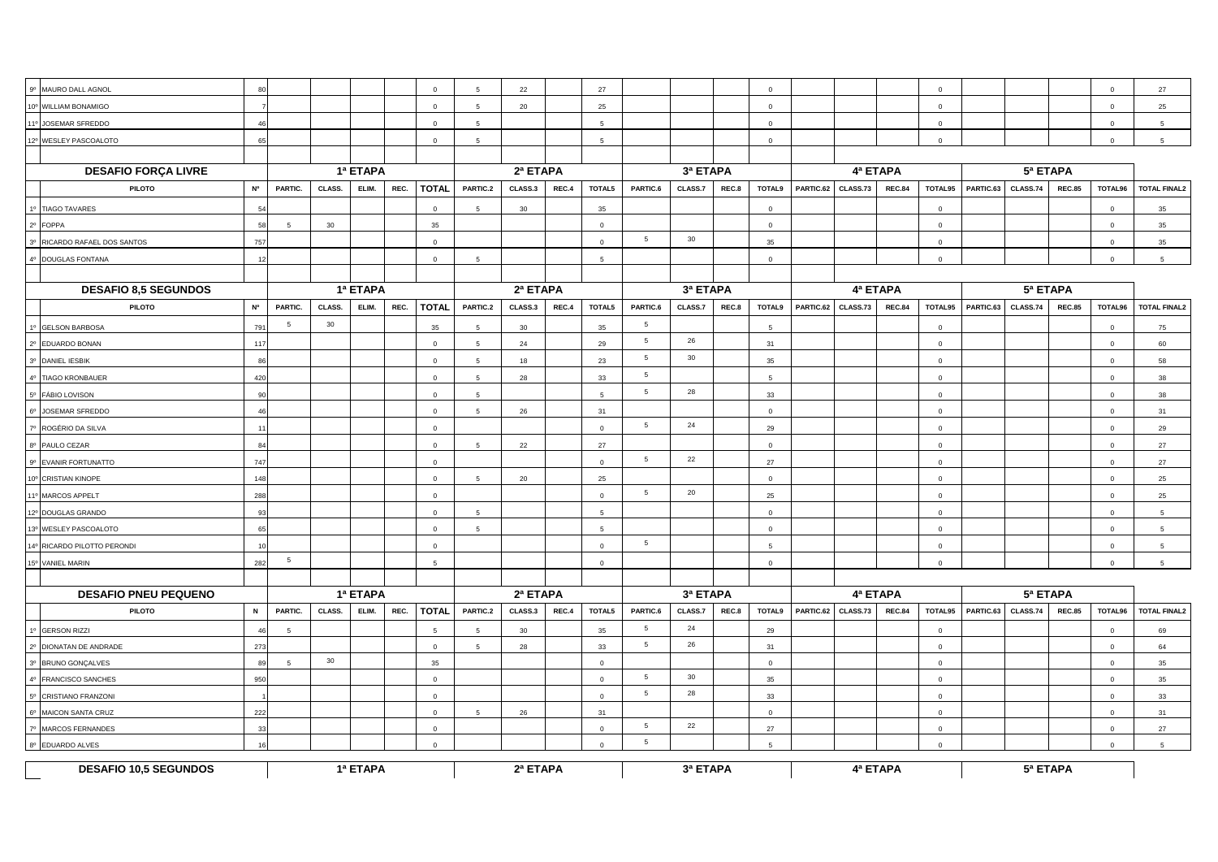| 9º MAURO DALL AGNOL          | 80        |                |          |          |      | $\overline{0}$ | 5               | 22       |       | 27              |                 |          |       | $\Omega$       |           |          |               | $\overline{0}$ |           |          |               | $\mathbf{0}$   | 27                  |
|------------------------------|-----------|----------------|----------|----------|------|----------------|-----------------|----------|-------|-----------------|-----------------|----------|-------|----------------|-----------|----------|---------------|----------------|-----------|----------|---------------|----------------|---------------------|
| 10° WILLIAM BONAMIGO         |           |                |          |          |      | $\overline{0}$ | 5               | 20       |       | 25              |                 |          |       | $\Omega$       |           |          |               | $\mathbf 0$    |           |          |               | $\circ$        | 25                  |
| 11º JOSEMAR SFREDDO          |           |                |          |          |      | $\overline{0}$ | 5               |          |       | $5\phantom{.0}$ |                 |          |       | $\overline{0}$ |           |          |               | $\mathbf 0$    |           |          |               | $\mathbf 0$    | $5\overline{5}$     |
| 12º WESLEY PASCOALOTO        | 65        |                |          |          |      | $\overline{0}$ | 5               |          |       | 5               |                 |          |       | $\mathbf{0}$   |           |          |               | $\mathbf{0}$   |           |          |               | $\mathbf 0$    | $5\overline{5}$     |
|                              |           |                |          |          |      |                |                 |          |       |                 |                 |          |       |                |           |          |               |                |           |          |               |                |                     |
| <b>DESAFIO FORÇA LIVRE</b>   |           |                | 1ª ETAPA |          |      |                | 2ª ETAPA        |          |       | 3ª ETAPA        |                 |          |       |                | 4ª ETAPA  |          |               |                |           |          |               |                |                     |
| <b>PILOTO</b>                | <b>N°</b> | PARTIC.        | CLASS.   | ELIM.    | REC. | <b>TOTAL</b>   | PARTIC.2        | CLASS.3  | REC.4 | TOTAL5          | PARTIC.6        | CLASS.7  | REC.8 | TOTAL9         | PARTIC.62 | CLASS.73 | <b>REC.84</b> | TOTAL95        | PARTIC.63 | CLASS.74 | <b>REC.85</b> | TOTAL96        | <b>TOTAL FINAL2</b> |
| 1º TIAGO TAVARES             |           |                |          |          |      | $\overline{0}$ | 5               | 30       |       | 35              |                 |          |       | $\mathbf 0$    |           |          |               | $\mathbf 0$    |           |          |               | $\mathbf 0$    | 35                  |
| 2º FOPPA                     | 58        | 5              | 30       |          |      | 35             |                 |          |       | $\mathbf 0$     |                 |          |       | $\mathsf 0$    |           |          |               | $\mathbf{0}$   |           |          |               | $\mathbf 0$    | 35                  |
| 3º RICARDO RAFAEL DOS SANTOS | 757       |                |          |          |      | $\overline{0}$ |                 |          |       | $\mathbf 0$     | 5               | 30       |       | 35             |           |          |               | $\mathbf{0}$   |           |          |               | $\circ$        | 35                  |
| 4º DOUGLAS FONTANA           | 12        |                |          |          |      | $\circ$        | $5\overline{5}$ |          |       | $5^{\circ}$     |                 |          |       | $\overline{0}$ |           |          |               | $\mathbf 0$    |           |          |               | $\mathbf 0$    | $5\overline{5}$     |
|                              |           |                |          |          |      |                |                 |          |       |                 |                 |          |       |                |           |          |               |                |           |          |               |                |                     |
| <b>DESAFIO 8,5 SEGUNDOS</b>  |           | 1ª ETAPA       |          |          |      | 2ª ETAPA       |                 |          |       | 3ª ETAPA        |                 |          |       |                | 4ª ETAPA  |          |               | 5ª ETAPA       |           |          |               |                |                     |
| PILOTO                       | <b>N°</b> | PARTIC.        | CLASS.   | ELIM.    | REC. | <b>TOTAL</b>   | PARTIC.2        | CLASS.3  | REC.4 | TOTAL5          | PARTIC.6        | CLASS.7  | REC.8 | TOTAL9         | PARTIC.62 | CLASS.73 | <b>REC.84</b> | TOTAL95        | PARTIC.63 | CLASS.74 | <b>REC.85</b> | TOTAL96        | <b>TOTAL FINAL2</b> |
| 1º GELSON BARBOSA            | 791       | 5              | 30       |          |      | 35             | -5              | 30       |       | 35              | $5\overline{5}$ |          |       | -5             |           |          |               | $\overline{0}$ |           |          |               | $\mathbf{0}$   | 75                  |
| 2º EDUARDO BONAN             | 117       |                |          |          |      | $\Omega$       | $5\overline{5}$ | 24       |       | 29              | 5               | 26       |       | 31             |           |          |               | $\mathbf 0$    |           |          |               | $\Omega$       | 60                  |
| 3º DANIEL IESBIK             | 86        |                |          |          |      | $\overline{0}$ | $5\overline{5}$ | 18       |       | 23              | 5               | 30       |       | 35             |           |          |               | $\mathbf{0}$   |           |          |               | $\Omega$       | 58                  |
| 4º TIAGO KRONBAUER           | 420       |                |          |          |      | $\mathbf 0$    | 5               | 28       |       | 33              | 5               |          |       | -5             |           |          |               | $\mathbf 0$    |           |          |               | $\mathbf 0$    | 38                  |
| 5º FÁBIO LOVISON             | 90        |                |          |          |      | $\overline{0}$ | 5               |          |       | 5               | 5               | 28       |       | 33             |           |          |               | $\mathbf 0$    |           |          |               | $^{\circ}$     | 38                  |
| 6º JOSEMAR SFREDDO           | 46        |                |          |          |      | $\mathbf 0$    | 5               | 26       |       | 31              |                 |          |       | $\mathbf{0}$   |           |          |               | $\mathbf{0}$   |           |          |               | $\mathbf 0$    | 31                  |
| 7º ROGÉRIO DA SILVA          | 11        |                |          |          |      | $\mathbf 0$    |                 |          |       | $\mathbf 0$     | 5               | 24       |       | 29             |           |          |               | $\mathbf 0$    |           |          |               | $\circ$        | 29                  |
| 8º PAULO CEZAR               | 84        |                |          |          |      | $\overline{0}$ | 5               | 22       |       | 27              |                 |          |       | $\circ$        |           |          |               | $\overline{0}$ |           |          |               | $\mathbf{0}$   | 27                  |
| 9º EVANIR FORTUNATTO         | 747       |                |          |          |      | $\circ$        |                 |          |       | $\overline{0}$  | 5               | 22       |       | 27             |           |          |               | $\overline{0}$ |           |          |               | $\circ$        | 27                  |
| 10° CRISTIAN KINOPE          | 148       |                |          |          |      | $\Omega$       | -5              | 20       |       | 25              |                 |          |       | $\Omega$       |           |          |               | $\Omega$       |           |          |               | $\Omega$       | 25                  |
| 11º MARCOS APPELT            | 288       |                |          |          |      | $\overline{0}$ |                 |          |       | $\mathbf 0$     | 5               | 20       |       | 25             |           |          |               | $\mathbf 0$    |           |          |               | $\circ$        | 25                  |
| 12º DOUGLAS GRANDO           | 93        |                |          |          |      | $\mathbf 0$    | 5               |          |       | $5^{\circ}$     |                 |          |       | $\Omega$       |           |          |               | $\mathbf{0}$   |           |          |               | $\Omega$       | 5                   |
| 13º WESLEY PASCOALOTO        | 65        |                |          |          |      | $\overline{0}$ | 5               |          |       | 5               |                 |          |       | $\overline{0}$ |           |          |               | $\mathbf{0}$   |           |          |               | $\mathbf 0$    | 5                   |
| 14º RICARDO PILOTTO PERONDI  | 10        |                |          |          |      | $\circ$        |                 |          |       | $\circ$         | $5\overline{5}$ |          |       | -5             |           |          |               | $\Omega$       |           |          |               | $\mathbf{0}$   | 5 <sup>5</sup>      |
| 15° VANIEL MARIN             | 282       | 5              |          |          |      | -5             |                 |          |       | $\overline{0}$  |                 |          |       | $\Omega$       |           |          |               | $\overline{0}$ |           |          |               | $\circ$        | $5\overline{5}$     |
|                              |           |                |          |          |      |                |                 |          |       |                 |                 |          |       |                |           |          |               |                |           |          |               |                |                     |
| <b>DESAFIO PNEU PEQUENO</b>  |           |                |          | 1ª ETAPA |      |                |                 | 2ª ETAPA |       |                 |                 | 3ª ETAPA |       |                |           | 4ª ETAPA |               |                | 5ª ETAPA  |          |               |                |                     |
| <b>PILOTO</b>                | N         | PARTIC.        | CLASS.   | ELIM.    | REC. | <b>TOTAL</b>   | PARTIC.2        | CLASS.3  | REC.4 | TOTAL5          | PARTIC.6        | CLASS.7  | REC.8 | <b>TOTAL9</b>  | PARTIC.62 | CLASS.73 | <b>REC.84</b> | TOTAL95        | PARTIC.63 | CLASS.74 | <b>REC.85</b> | TOTAL96        | <b>TOTAL FINAL2</b> |
| 1º GERSON RIZZI              | 46        | $\overline{5}$ |          |          |      | 5              | 5               | 30       |       | 35              | 5               | 24       |       | 29             |           |          |               | $\mathbf{0}$   |           |          |               | $\mathbf 0$    | 69                  |
| 2º DIONATAN DE ANDRADE       | 273       |                |          |          |      | $\mathbf 0$    | $\sqrt{5}$      | 28       |       | 33              | $5\overline{5}$ | 26       |       | 31             |           |          |               | $\mathbf 0$    |           |          |               | $\mathbf 0$    | 64                  |
| 3º BRUNO GONÇALVES           | 89        | 5              | 30       |          |      | 35             |                 |          |       | $\mathbf 0$     |                 |          |       | $\Omega$       |           |          |               | $\mathbf{0}$   |           |          |               | $\Omega$       | 35                  |
| 4º FRANCISCO SANCHES         | 950       |                |          |          |      | $\overline{0}$ |                 |          |       | $\overline{0}$  | $5\overline{5}$ | 30       |       | 35             |           |          |               | $\mathbf 0$    |           |          |               | $\overline{0}$ | 35                  |
| 5º CRISTIANO FRANZONI        |           |                |          |          |      | $\overline{0}$ |                 |          |       | $\circ$         | 5               | 28       |       | 33             |           |          |               | $\mathbf 0$    |           |          |               | $\Omega$       | 33                  |
| 6º MAICON SANTA CRUZ         | 222       |                |          |          |      | $\mathsf 0$    | 5               | 26       |       | 31              |                 |          |       | $\mathbf 0$    |           |          |               | $\mathbf 0$    |           |          |               | $\mathbf 0$    | 31                  |
| 7º MARCOS FERNANDES          | 33        |                |          |          |      | $\overline{0}$ |                 |          |       | $\Omega$        | 5               | 22       |       | 27             |           |          |               | $\mathbf{0}$   |           |          |               | $\mathbf{0}$   | 27                  |
| 8º EDUARDO ALVES             | 16        |                |          |          |      | $\circ$        |                 |          |       | $\circ$         | 5               |          |       | -5             |           |          |               | $\mathbf 0$    |           |          |               | $\mathbf 0$    | 5                   |
| <b>DESAFIO 10,5 SEGUNDOS</b> | 1ª ETAPA  |                |          |          |      |                |                 | 2ª ETAPA |       |                 |                 | 3ª ETAPA |       |                |           | 4ª ETAPA |               |                |           | 5ª ETAPA |               |                |                     |